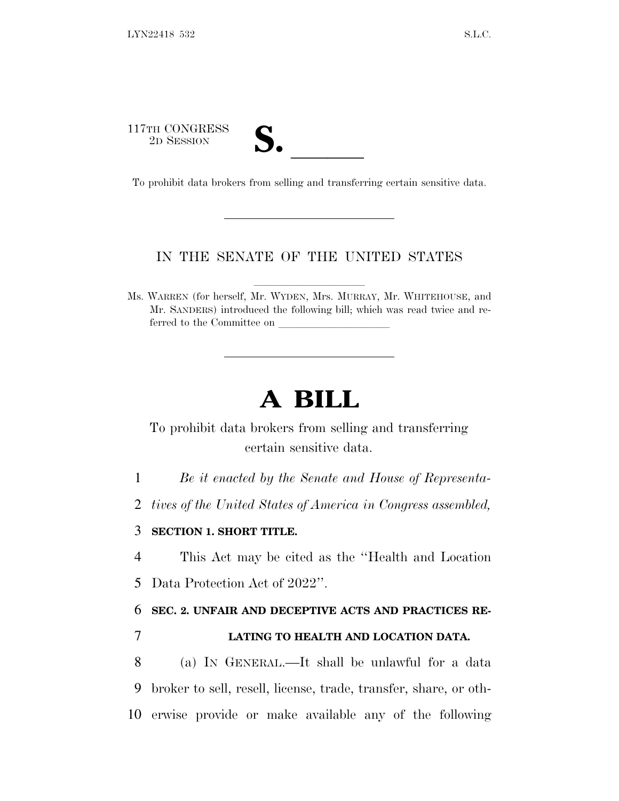117TH CONGRESS

| , |  |  |
|---|--|--|
|   |  |  |

17TH CONGRESS<br>
2D SESSION<br>
To prohibit data brokers from selling and transferring certain sensitive data.

## IN THE SENATE OF THE UNITED STATES

Ms. WARREN (for herself, Mr. WYDEN, Mrs. MURRAY, Mr. WHITEHOUSE, and Mr. SANDERS) introduced the following bill; which was read twice and referred to the Committee on

# **A BILL**

To prohibit data brokers from selling and transferring certain sensitive data.

1 *Be it enacted by the Senate and House of Representa-*

2 *tives of the United States of America in Congress assembled,*

#### 3 **SECTION 1. SHORT TITLE.**

4 This Act may be cited as the ''Health and Location 5 Data Protection Act of 2022''.

6 **SEC. 2. UNFAIR AND DECEPTIVE ACTS AND PRACTICES RE-**

## 7 **LATING TO HEALTH AND LOCATION DATA.**

8 (a) I<sup>N</sup> GENERAL.—It shall be unlawful for a data 9 broker to sell, resell, license, trade, transfer, share, or oth-10 erwise provide or make available any of the following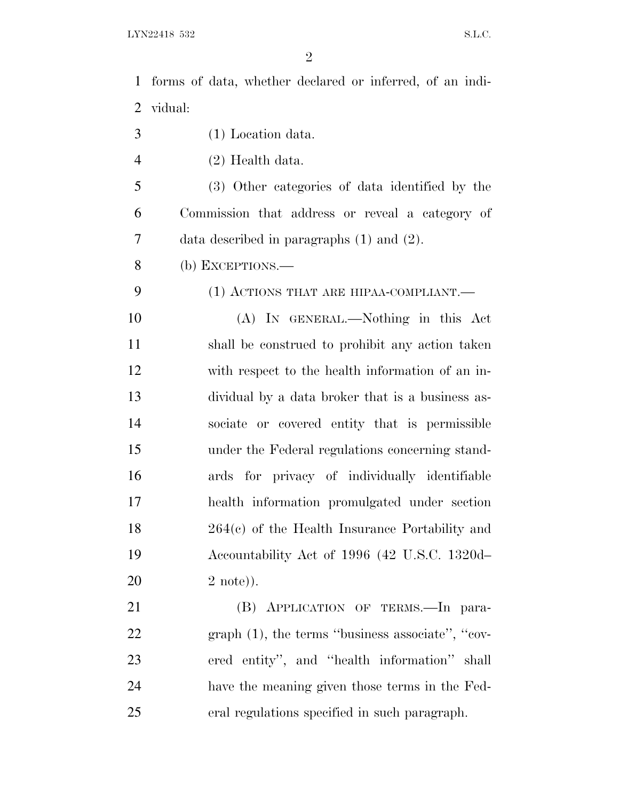forms of data, whether declared or inferred, of an indi- vidual: (1) Location data. (2) Health data. (3) Other categories of data identified by the Commission that address or reveal a category of data described in paragraphs (1) and (2). (b) EXCEPTIONS.— 9 (1) ACTIONS THAT ARE HIPAA-COMPLIANT. (A) IN GENERAL.—Nothing in this Act shall be construed to prohibit any action taken with respect to the health information of an in- dividual by a data broker that is a business as- sociate or covered entity that is permissible under the Federal regulations concerning stand- ards for privacy of individually identifiable health information promulgated under section 264(c) of the Health Insurance Portability and Accountability Act of 1996 (42 U.S.C. 1320d– 2 note)). (B) APPLICATION OF TERMS.—In para- graph (1), the terms ''business associate'', ''cov- ered entity'', and ''health information'' shall have the meaning given those terms in the Fed-eral regulations specified in such paragraph.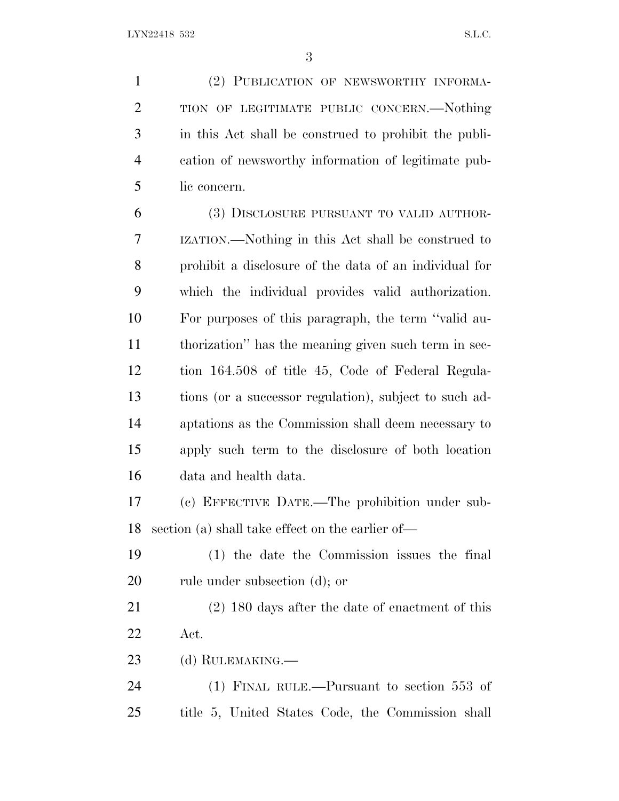(2) PUBLICATION OF NEWSWORTHY INFORMA-2 TION OF LEGITIMATE PUBLIC CONCERN.—Nothing in this Act shall be construed to prohibit the publi- cation of newsworthy information of legitimate pub-lic concern.

 (3) DISCLOSURE PURSUANT TO VALID AUTHOR- IZATION.—Nothing in this Act shall be construed to prohibit a disclosure of the data of an individual for which the individual provides valid authorization. For purposes of this paragraph, the term ''valid au- thorization'' has the meaning given such term in sec- tion 164.508 of title 45, Code of Federal Regula- tions (or a successor regulation), subject to such ad- aptations as the Commission shall deem necessary to apply such term to the disclosure of both location data and health data.

 (c) EFFECTIVE DATE.—The prohibition under sub-section (a) shall take effect on the earlier of—

 (1) the date the Commission issues the final rule under subsection (d); or

 (2) 180 days after the date of enactment of this Act.

(d) RULEMAKING.—

 (1) FINAL RULE.—Pursuant to section 553 of title 5, United States Code, the Commission shall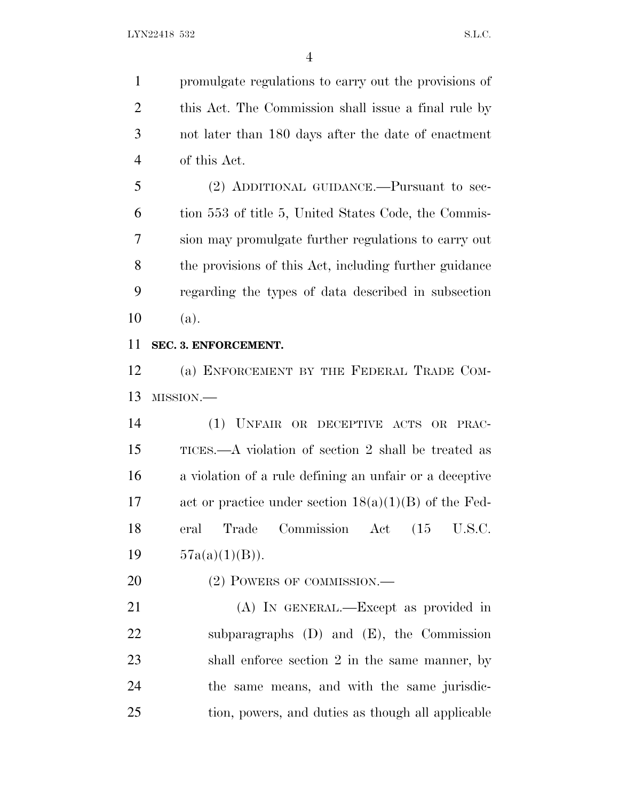promulgate regulations to carry out the provisions of this Act. The Commission shall issue a final rule by not later than 180 days after the date of enactment of this Act.

 (2) ADDITIONAL GUIDANCE.—Pursuant to sec- tion 553 of title 5, United States Code, the Commis- sion may promulgate further regulations to carry out the provisions of this Act, including further guidance regarding the types of data described in subsection (a).

#### **SEC. 3. ENFORCEMENT.**

 (a) ENFORCEMENT BY THE FEDERAL TRADE COM-MISSION.—

 (1) UNFAIR OR DECEPTIVE ACTS OR PRAC- TICES.—A violation of section 2 shall be treated as a violation of a rule defining an unfair or a deceptive act or practice under section 18(a)(1)(B) of the Fed- eral Trade Commission Act (15 U.S.C.  $57a(a)(1)(B)$ .

20 (2) POWERS OF COMMISSION.—

 (A) IN GENERAL.—Except as provided in subparagraphs (D) and (E), the Commission shall enforce section 2 in the same manner, by the same means, and with the same jurisdic-tion, powers, and duties as though all applicable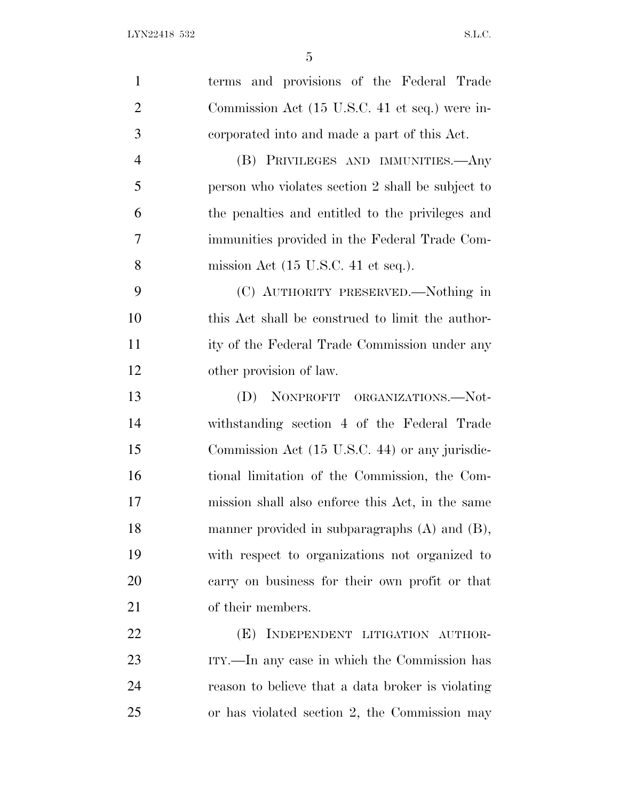| $\mathbf{1}$   | terms and provisions of the Federal Trade              |
|----------------|--------------------------------------------------------|
| $\overline{2}$ | Commission Act (15 U.S.C. 41 et seq.) were in-         |
| 3              | corporated into and made a part of this Act.           |
| $\overline{4}$ | (B) PRIVILEGES AND IMMUNITIES.—Any                     |
| 5              | person who violates section 2 shall be subject to      |
| 6              | the penalties and entitled to the privileges and       |
| $\overline{7}$ | immunities provided in the Federal Trade Com-          |
| 8              | mission Act $(15 \text{ U.S.C. } 41 \text{ et seq.}).$ |
| 9              | (C) AUTHORITY PRESERVED.—Nothing in                    |
| 10             | this Act shall be construed to limit the author-       |
| 11             | ity of the Federal Trade Commission under any          |
| 12             | other provision of law.                                |
| 13             | (D) NONPROFIT ORGANIZATIONS.—Not-                      |
| 14             | withstanding section 4 of the Federal Trade            |
| 15             | Commission Act (15 U.S.C. 44) or any jurisdic-         |
| 16             | tional limitation of the Commission, the Com-          |
| 17             | mission shall also enforce this Act, in the same       |
| 18             | manner provided in subparagraphs $(A)$ and $(B)$ ,     |
| 19             | with respect to organizations not organized to         |
| 20             | carry on business for their own profit or that         |
| 21             | of their members.                                      |
| 22             | (E) INDEPENDENT LITIGATION AUTHOR-                     |
| 23             | ITY.—In any case in which the Commission has           |
| 24             | reason to believe that a data broker is violating      |
| 25             | or has violated section 2, the Commission may          |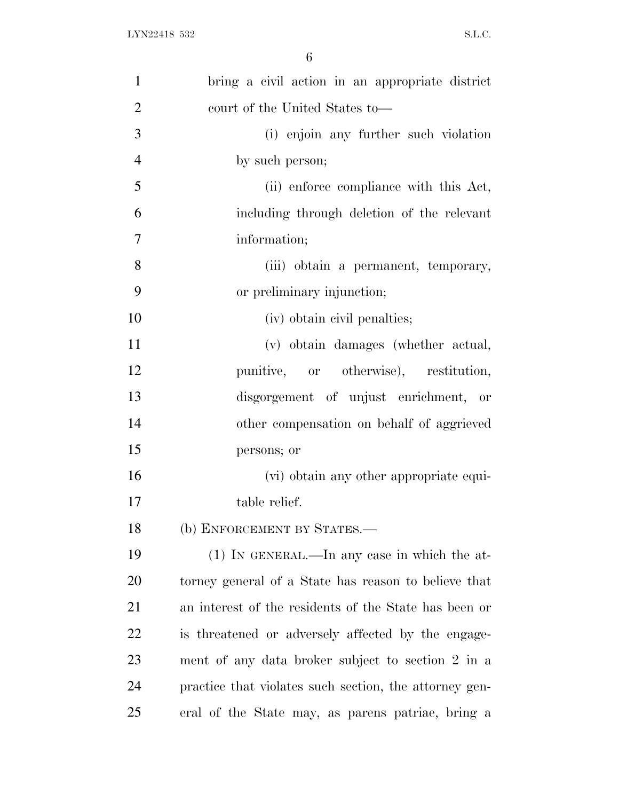| $\mathbf{1}$   | bring a civil action in an appropriate district        |
|----------------|--------------------------------------------------------|
| $\overline{2}$ | court of the United States to-                         |
| 3              | (i) enjoin any further such violation                  |
| $\overline{4}$ | by such person;                                        |
| 5              | (ii) enforce compliance with this Act,                 |
| 6              | including through deletion of the relevant             |
| 7              | information;                                           |
| 8              | (iii) obtain a permanent, temporary,                   |
| 9              | or preliminary injunction;                             |
| 10             | (iv) obtain civil penalties;                           |
| 11             | (v) obtain damages (whether actual,                    |
| 12             | punitive, or otherwise), restitution,                  |
| 13             | disgorgement of unjust enrichment, or                  |
| 14             | other compensation on behalf of aggrieved              |
| 15             | persons; or                                            |
| 16             | (vi) obtain any other appropriate equi-                |
| 17             | table relief.                                          |
| 18             | (b) ENFORCEMENT BY STATES.-                            |
| 19             | $(1)$ IN GENERAL.—In any case in which the at-         |
| 20             | torney general of a State has reason to believe that   |
| 21             | an interest of the residents of the State has been or  |
| 22             | is threatened or adversely affected by the engage-     |
| 23             | ment of any data broker subject to section 2 in a      |
| 24             | practice that violates such section, the attorney gen- |
| 25             | eral of the State may, as parens patriae, bring a      |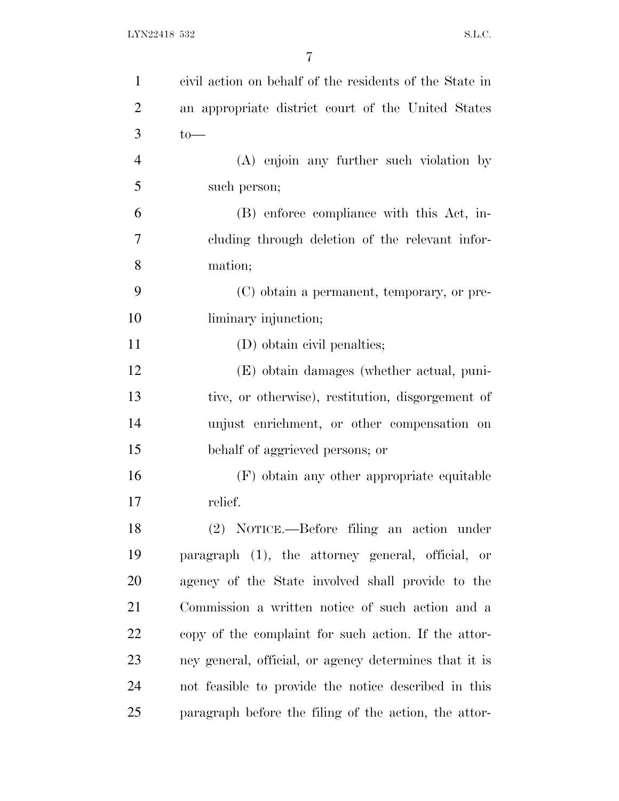| $\mathbf{1}$   | civil action on behalf of the residents of the State in |
|----------------|---------------------------------------------------------|
| $\overline{2}$ | an appropriate district court of the United States      |
| 3              | $to-$                                                   |
| $\overline{4}$ | (A) enjoin any further such violation by                |
| 5              | such person;                                            |
| 6              | (B) enforce compliance with this Act, in-               |
| 7              | cluding through deletion of the relevant infor-         |
| 8              | mation;                                                 |
| 9              | (C) obtain a permanent, temporary, or pre-              |
| 10             | liminary injunction;                                    |
| 11             | (D) obtain civil penalties;                             |
| 12             | (E) obtain damages (whether actual, puni-               |
| 13             | tive, or otherwise), restitution, disgorgement of       |
| 14             | unjust enrichment, or other compensation on             |
| 15             | behalf of aggrieved persons; or                         |
| 16             | (F) obtain any other appropriate equitable              |
| 17             | relief.                                                 |
| 18             | (2) NOTICE.—Before filing an action under               |
| 19             | paragraph (1), the attorney general, official, or       |
| 20             | agency of the State involved shall provide to the       |
| 21             | Commission a written notice of such action and a        |
| 22             | copy of the complaint for such action. If the attor-    |
| 23             | ney general, official, or agency determines that it is  |
| 24             | not feasible to provide the notice described in this    |
| 25             | paragraph before the filing of the action, the attor-   |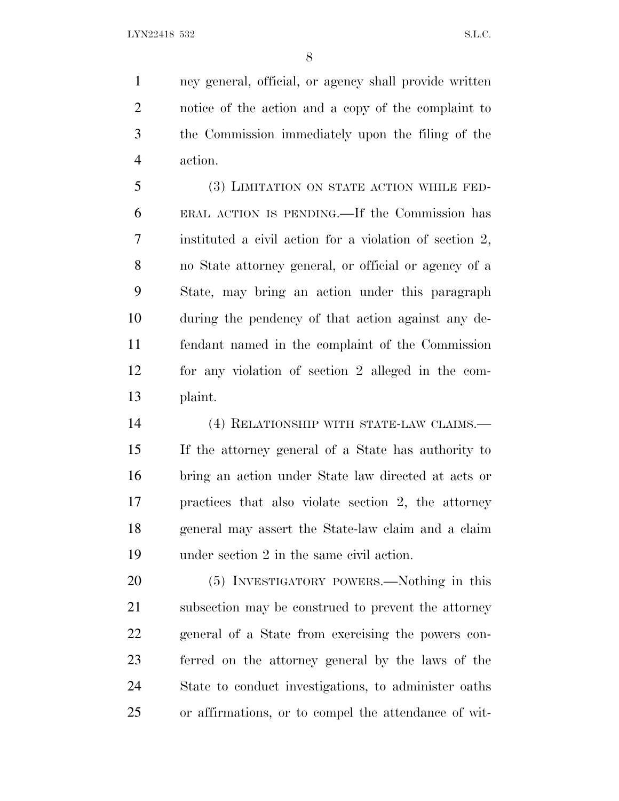ney general, official, or agency shall provide written notice of the action and a copy of the complaint to the Commission immediately upon the filing of the action.

 (3) LIMITATION ON STATE ACTION WHILE FED- ERAL ACTION IS PENDING.—If the Commission has instituted a civil action for a violation of section 2, no State attorney general, or official or agency of a State, may bring an action under this paragraph during the pendency of that action against any de- fendant named in the complaint of the Commission for any violation of section 2 alleged in the com-plaint.

 (4) RELATIONSHIP WITH STATE-LAW CLAIMS.— If the attorney general of a State has authority to bring an action under State law directed at acts or practices that also violate section 2, the attorney general may assert the State-law claim and a claim under section 2 in the same civil action.

 (5) INVESTIGATORY POWERS.—Nothing in this subsection may be construed to prevent the attorney general of a State from exercising the powers con- ferred on the attorney general by the laws of the State to conduct investigations, to administer oaths or affirmations, or to compel the attendance of wit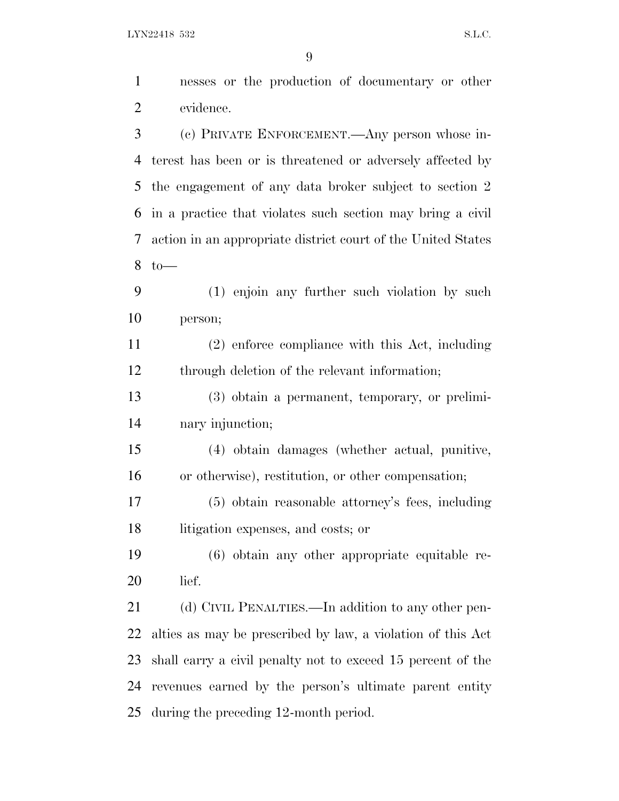LYN22418 532 S.L.C.

| $\mathbf{1}$   | nesses or the production of documentary or other             |
|----------------|--------------------------------------------------------------|
| $\overline{2}$ | evidence.                                                    |
| 3              | (c) PRIVATE ENFORCEMENT.—Any person whose in-                |
| 4              | terest has been or is threatened or adversely affected by    |
| 5              | the engagement of any data broker subject to section 2       |
| 6              | in a practice that violates such section may bring a civil   |
| 7              | action in an appropriate district court of the United States |
| 8              | $to-$                                                        |
| 9              | (1) enjoin any further such violation by such                |
| 10             | person;                                                      |
| 11             | (2) enforce compliance with this Act, including              |
| 12             | through deletion of the relevant information;                |
| 13             | (3) obtain a permanent, temporary, or prelimi-               |
| 14             | nary injunction;                                             |
| 15             | (4) obtain damages (whether actual, punitive,                |
| 16             | or otherwise), restitution, or other compensation;           |
| 17             | (5) obtain reasonable attorney's fees, including             |
| 18             | litigation expenses, and costs; or                           |
| 19             | $(6)$ obtain any other appropriate equitable re-             |
| 20             | lief.                                                        |
| 21             | (d) CIVIL PENALTIES.—In addition to any other pen-           |
| 22             | alties as may be prescribed by law, a violation of this Act  |
| 23             | shall carry a civil penalty not to exceed 15 percent of the  |
| 24             | revenues earned by the person's ultimate parent entity       |
| 25             | during the preceding 12-month period.                        |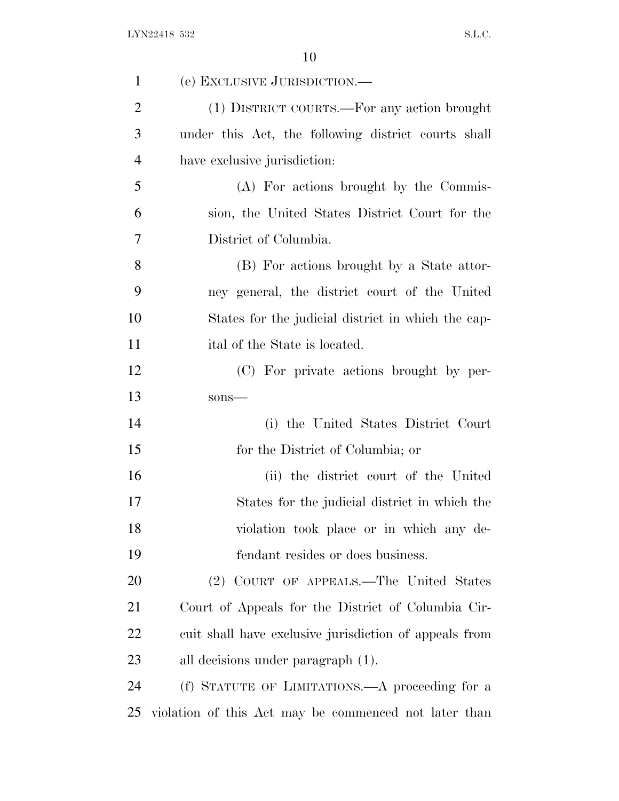| $\mathbf{1}$   | (e) EXCLUSIVE JURISDICTION.—                           |
|----------------|--------------------------------------------------------|
| $\overline{2}$ | (1) DISTRICT COURTS.—For any action brought            |
| 3              | under this Act, the following district courts shall    |
| $\overline{4}$ | have exclusive jurisdiction:                           |
| 5              | (A) For actions brought by the Commis-                 |
| 6              | sion, the United States District Court for the         |
| 7              | District of Columbia.                                  |
| 8              | (B) For actions brought by a State attor-              |
| 9              | ney general, the district court of the United          |
| 10             | States for the judicial district in which the cap-     |
| 11             | ital of the State is located.                          |
| 12             | (C) For private actions brought by per-                |
| 13             | sons-                                                  |
| 14             | (i) the United States District Court                   |
| 15             | for the District of Columbia; or                       |
| 16             | (ii) the district court of the United                  |
| 17             | States for the judicial district in which the          |
| 18             | violation took place or in which any de-               |
| 19             | fendant resides or does business.                      |
| 20             | (2) COURT OF APPEALS.—The United States                |
| 21             | Court of Appeals for the District of Columbia Cir-     |
| 22             | cuit shall have exclusive jurisdiction of appeals from |
| 23             | all decisions under paragraph $(1)$ .                  |
| 24             | (f) STATUTE OF LIMITATIONS.—A proceeding for a         |
| 25             | violation of this Act may be commenced not later than  |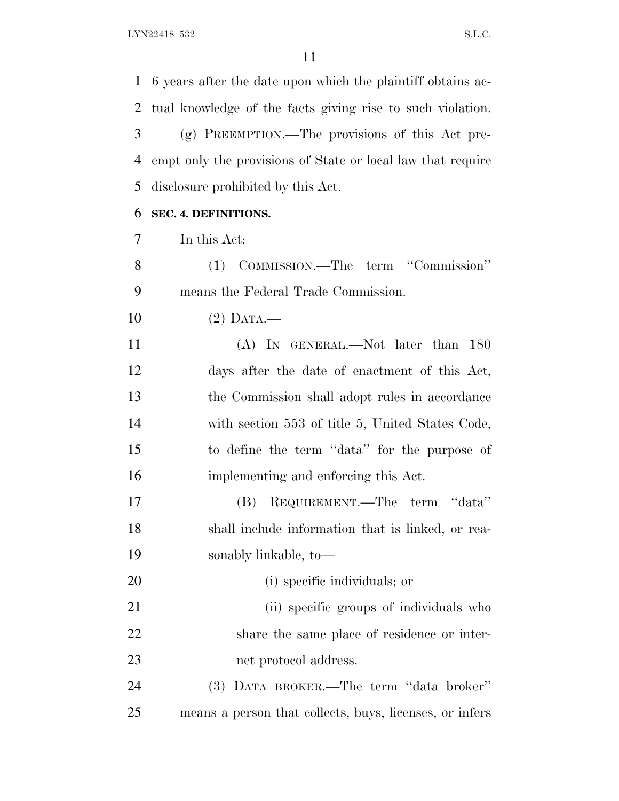6 years after the date upon which the plaintiff obtains ac- tual knowledge of the facts giving rise to such violation. (g) PREEMPTION.—The provisions of this Act pre- empt only the provisions of State or local law that require disclosure prohibited by this Act. **SEC. 4. DEFINITIONS.** In this Act: (1) COMMISSION.—The term ''Commission'' means the Federal Trade Commission. (2) DATA.— (A) IN GENERAL.—Not later than 180 days after the date of enactment of this Act, the Commission shall adopt rules in accordance with section 553 of title 5, United States Code, to define the term ''data'' for the purpose of implementing and enforcing this Act. (B) REQUIREMENT.—The term ''data'' shall include information that is linked, or rea- sonably linkable, to— (i) specific individuals; or 21 (ii) specific groups of individuals who share the same place of residence or inter- net protocol address. (3) DATA BROKER.—The term ''data broker'' means a person that collects, buys, licenses, or infers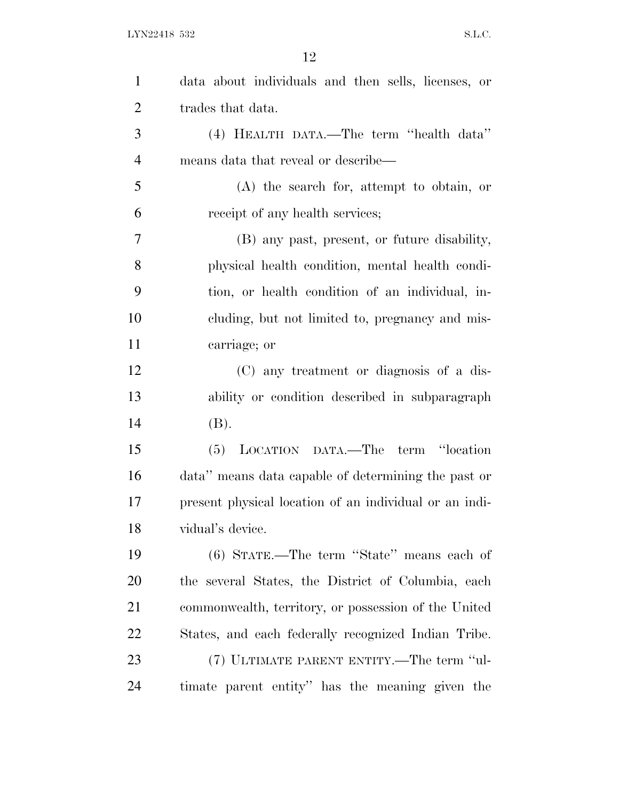| $\mathbf{1}$   | data about individuals and then sells, licenses, or    |
|----------------|--------------------------------------------------------|
|                |                                                        |
| $\overline{2}$ | trades that data.                                      |
| 3              | (4) HEALTH DATA.—The term "health data"                |
| $\overline{4}$ | means data that reveal or describe—                    |
| 5              | $(A)$ the search for, attempt to obtain, or            |
| 6              | receipt of any health services;                        |
| 7              | (B) any past, present, or future disability,           |
| 8              | physical health condition, mental health condi-        |
| 9              | tion, or health condition of an individual, in-        |
| 10             | cluding, but not limited to, pregnancy and mis-        |
| 11             | carriage; or                                           |
| 12             | (C) any treatment or diagnosis of a dis-               |
| 13             | ability or condition described in subparagraph         |
| 14             | (B).                                                   |
| 15             | (5) LOCATION DATA.—The term "location                  |
| 16             | data" means data capable of determining the past or    |
| 17             | present physical location of an individual or an indi- |
| 18             | vidual's device.                                       |
| 19             | (6) STATE.—The term "State" means each of              |
| 20             | the several States, the District of Columbia, each     |
| 21             | commonwealth, territory, or possession of the United   |
| 22             | States, and each federally recognized Indian Tribe.    |
| 23             | (7) ULTIMATE PARENT ENTITY.—The term "ul-              |
| 24             | timate parent entity" has the meaning given the        |